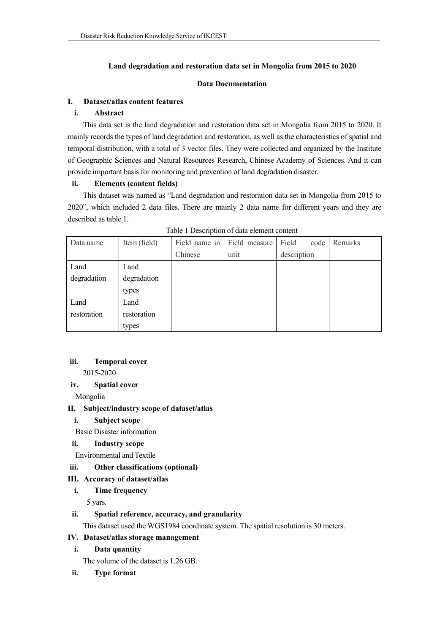# **Land degradation and restoration data set in Mongolia from 2015 to 2020**

## **Data Documentation**

## **I. Dataset/atlas content features**

# **i. Abstract**

This data set is the land degradation and restoration data set in Mongolia from 2015 to 2020. It mainly records the types of land degradation and restoration, as well as the characteristics of spatial and temporal distribution, with a total of 3 vector files. They were collected and organized by the Institute of Geographic Sciences and Natural Resources Research, Chinese Academy of Sciences. And it can provide important basis for monitoring and prevention of land degradation disaster.

## **ii. Elements (content fields)**

This dataset was named as "Land degradation and restoration data set in Mongolia from 2015 to 2020", which included 2 data files. There are mainly 2 data name for different years and they are described as table 1.

| Data name   | Item (field) |         | Field name in Field measure | Field<br>code | Remarks |
|-------------|--------------|---------|-----------------------------|---------------|---------|
|             |              | Chinese | unit                        | description   |         |
| Land        | Land         |         |                             |               |         |
| degradation | degradation  |         |                             |               |         |
|             | types        |         |                             |               |         |
| Land        | Land         |         |                             |               |         |
| restoration | restoration  |         |                             |               |         |
|             | types        |         |                             |               |         |

Table 1 Description of data element content

## **iii. Temporal cover**

2015-2020

## **iv. Spatial cover**

Mongolia

## **II. Subject/industry scope of dataset/atlas**

**i. Subject scope**

Basic Disaster information

## **ii. Industry scope**

Environmental and Textile

## **iii. Other classifications (optional)**

## **III. Accuracy of dataset/atlas**

**i. Time frequency**

5 yars.

## **ii. Spatial reference, accuracy, and granularity**

This dataset used the WGS1984 coordinate system. The spatial resolution is 30 meters.

# **IV. Dataset/atlas storage management**

# **i. Data quantity**

The volume of the dataset is 1.26 GB.

## **ii. Type format**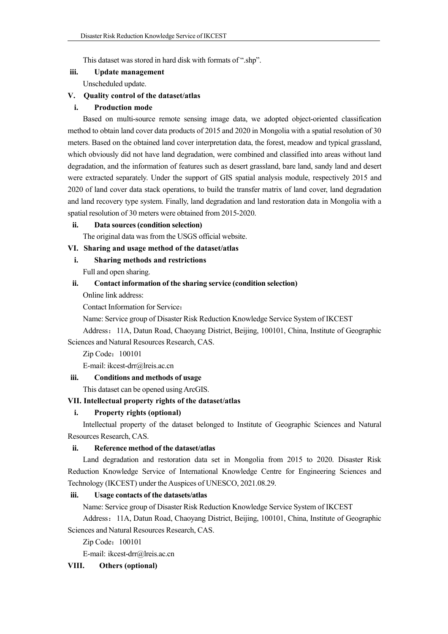This dataset was stored in hard disk with formats of ".shp".

### **iii. Update management**

Unscheduled update.

# **V. Quality control of the dataset/atlas**

### **i. Production mode**

Based on multi-source remote sensing image data, we adopted object-oriented classification method to obtain land cover data products of 2015 and 2020 in Mongolia with a spatial resolution of 30 meters. Based on the obtained land cover interpretation data, the forest, meadow and typical grassland, which obviously did not have land degradation, were combined and classified into areas without land degradation, and the information of features such as desert grassland, bare land, sandy land and desert were extracted separately. Under the support of GIS spatial analysis module, respectively 2015 and 2020 of land cover data stack operations, to build the transfer matrix of land cover, land degradation and land recovery type system. Finally, land degradation and land restoration data in Mongolia with a spatial resolution of 30 meters were obtained from 2015-2020.

## **ii. Data sources(condition selection)**

The original data was from the USGS official website.

# **VI. Sharing and usage method of the dataset/atlas**

# **i. Sharing methods and restrictions**

Full and open sharing.

## **ii. Contact information of the sharing service (condition selection)**

Online link address:

Contact Information for Service:

Name: Service group of Disaster Risk Reduction Knowledge Service System of IKCEST

Address:11A, Datun Road, Chaoyang District, Beijing, 100101, China, Institute of Geographic Sciences and Natural Resources Research, CAS.

Zip Code:100101

E-mail: ikcest-drr@lreis.ac.cn

#### **iii. Conditions and methods of usage**

This dataset can be opened usingArcGIS.

## **VII. Intellectual property rights of the dataset/atlas**

#### **i. Property rights (optional)**

Intellectual property of the dataset belonged to Institute of Geographic Sciences and Natural Resources Research, CAS.

#### **ii. Reference method of the dataset/atlas**

Land degradation and restoration data set in Mongolia from 2015 to 2020. Disaster Risk Reduction Knowledge Service of International Knowledge Centre for Engineering Sciences and Technology (IKCEST) under the Auspices of UNESCO, 2021.08.29.

#### **iii.** Usage contacts of the datasets/atlas

Name: Service group of Disaster Risk Reduction Knowledge Service System of IKCEST

Address:11A, Datun Road, Chaoyang District, Beijing, 100101, China, Institute of Geographic Sciences and Natural Resources Research, CAS.

Zip Code:100101

E-mail: ikcest-drr@lreis.ac.cn

### **VIII. Others (optional)**